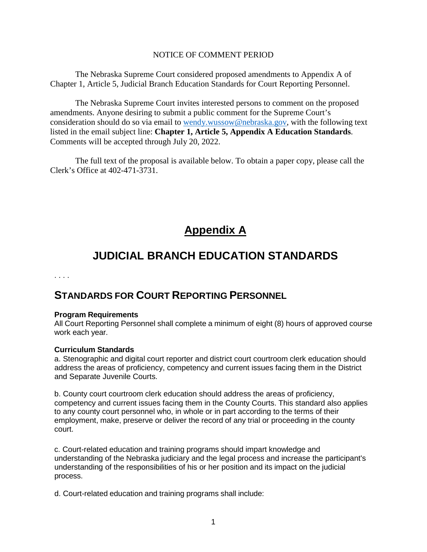### NOTICE OF COMMENT PERIOD

The Nebraska Supreme Court considered proposed amendments to Appendix A of Chapter 1, Article 5, Judicial Branch Education Standards for Court Reporting Personnel.

The Nebraska Supreme Court invites interested persons to comment on the proposed amendments. Anyone desiring to submit a public comment for the Supreme Court's consideration should do so via email to [wendy.wussow@nebraska.gov,](mailto:wendy.wussow@nebraska.gov) with the following text listed in the email subject line: **Chapter 1, Article 5, Appendix A Education Standards**. Comments will be accepted through July 20, 2022.

The full text of the proposal is available below. To obtain a paper copy, please call the Clerk's Office at 402-471-3731.

# **Appendix A**

# **JUDICIAL BRANCH EDUCATION STANDARDS**

. . . .

## **STANDARDS FOR COURT REPORTING PERSONNEL**

### **Program Requirements**

All Court Reporting Personnel shall complete a minimum of eight (8) hours of approved course work each year.

### **Curriculum Standards**

a. Stenographic and digital court reporter and district court courtroom clerk education should address the areas of proficiency, competency and current issues facing them in the District and Separate Juvenile Courts.

b. County court courtroom clerk education should address the areas of proficiency, competency and current issues facing them in the County Courts. This standard also applies to any county court personnel who, in whole or in part according to the terms of their employment, make, preserve or deliver the record of any trial or proceeding in the county court.

c. Court-related education and training programs should impart knowledge and understanding of the Nebraska judiciary and the legal process and increase the participant's understanding of the responsibilities of his or her position and its impact on the judicial process.

d. Court-related education and training programs shall include: